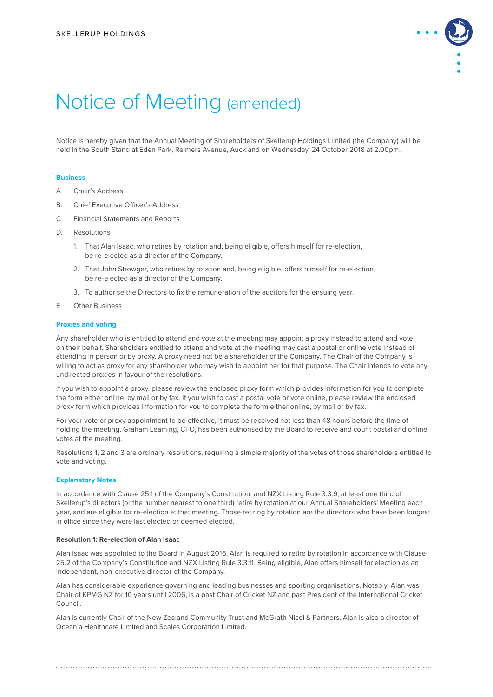

# Notice of Meeting (amended)

Notice is hereby given that the Annual Meeting of Shareholders of Skellerup Holdings Limited (the Company) will be held in the South Stand at Eden Park, Reimers Avenue, Auckland on Wednesday, 24 October 2018 at 2.00pm.

## **Business**

- A. Chair's Address
- B. Chief Executive Officer's Address
- C. Financial Statements and Reports
- D. Resolutions
	- 1. That Alan Isaac, who retires by rotation and, being eligible, offers himself for re-election, be re-elected as a director of the Company.
	- 2. That John Strowger, who retires by rotation and, being eligible, offers himself for re-election, be re-elected as a director of the Company.
	- 3. To authorise the Directors to fix the remuneration of the auditors for the ensuing year.
- E. Other Business

#### **Proxies and voting**

Any shareholder who is entitled to attend and vote at the meeting may appoint a proxy instead to attend and vote on their behalf. Shareholders entitled to attend and vote at the meeting may cast a postal or online vote instead of attending in person or by proxy. A proxy need not be a shareholder of the Company. The Chair of the Company is willing to act as proxy for any shareholder who may wish to appoint her for that purpose. The Chair intends to vote any undirected proxies in favour of the resolutions.

If you wish to appoint a proxy, please review the enclosed proxy form which provides information for you to complete the form either online, by mail or by fax. If you wish to cast a postal vote or vote online, please review the enclosed proxy form which provides information for you to complete the form either online, by mail or by fax.

For your vote or proxy appointment to be effective, it must be received not less than 48 hours before the time of holding the meeting. Graham Leaming, CFO, has been authorised by the Board to receive and count postal and online votes at the meeting.

Resolutions 1, 2 and 3 are ordinary resolutions, requiring a simple majority of the votes of those shareholders entitled to vote and voting.

## **Explanatory Notes**

In accordance with Clause 25.1 of the Company's Constitution, and NZX Listing Rule 3.3.9, at least one third of Skellerup's directors (or the number nearest to one third) retire by rotation at our Annual Shareholders' Meeting each year, and are eligible for re-election at that meeting. Those retiring by rotation are the directors who have been longest in office since they were last elected or deemed elected.

# **Resolution 1: Re-election of Alan Isaac**

Alan Isaac was appointed to the Board in August 2016. Alan is required to retire by rotation in accordance with Clause 25.2 of the Company's Constitution and NZX Listing Rule 3.3.11. Being eligible, Alan offers himself for election as an independent, non-executive director of the Company.

Alan has considerable experience governing and leading businesses and sporting organisations. Notably, Alan was Chair of KPMG NZ for 10 years until 2006, is a past Chair of Cricket NZ and past President of the International Cricket Council.

Alan is currently Chair of the New Zealand Community Trust and McGrath Nicol & Partners. Alan is also a director of Oceania Healthcare Limited and Scales Corporation Limited.